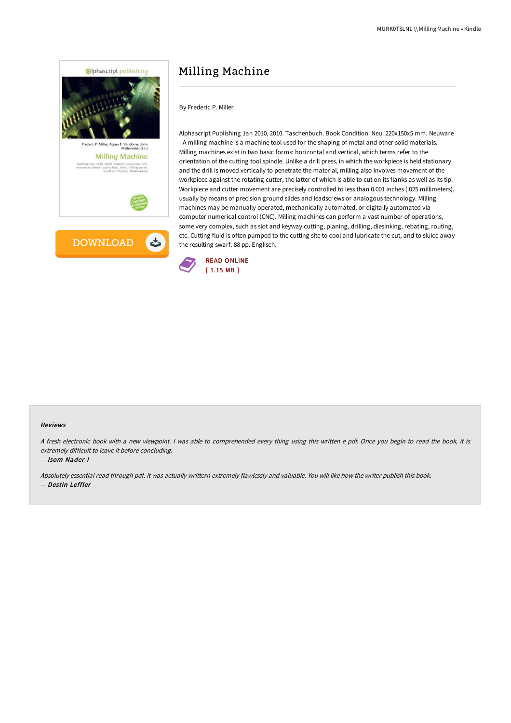

# Milling Machine

By Frederic P. Miller

Alphascript Publishing Jan 2010, 2010. Taschenbuch. Book Condition: Neu. 220x150x5 mm. Neuware - A milling machine is a machine tool used for the shaping of metal and other solid materials. Milling machines exist in two basic forms: horizontal and vertical, which terms refer to the orientation of the cutting tool spindle. Unlike a drill press, in which the workpiece is held stationary and the drill is moved vertically to penetrate the material, milling also involves movement of the workpiece against the rotating cutter, the latter of which is able to cut on its flanks as well as its tip. Workpiece and cutter movement are precisely controlled to less than 0.001 inches (.025 millimeters), usually by means of precision ground slides and leadscrews or analogous technology. Milling machines may be manually operated, mechanically automated, or digitally automated via computer numerical control (CNC). Milling machines can perform a vast number of operations, some very complex, such as slot and keyway cutting, planing, drilling, diesinking, rebating, routing, etc. Cutting fluid is often pumped to the cutting site to cool and lubricate the cut, and to sluice away the resulting swarf. 88 pp. Englisch.



#### Reviews

<sup>A</sup> fresh electronic book with <sup>a</sup> new viewpoint. <sup>I</sup> was able to comprehended every thing using this written <sup>e</sup> pdf. Once you begin to read the book, it is extremely difficult to leave it before concluding.

-- Isom Nader I

Absolutely essential read through pdf. it was actually writtern extremely flawlessly and valuable. You will like how the writer publish this book. -- Destin Leffler